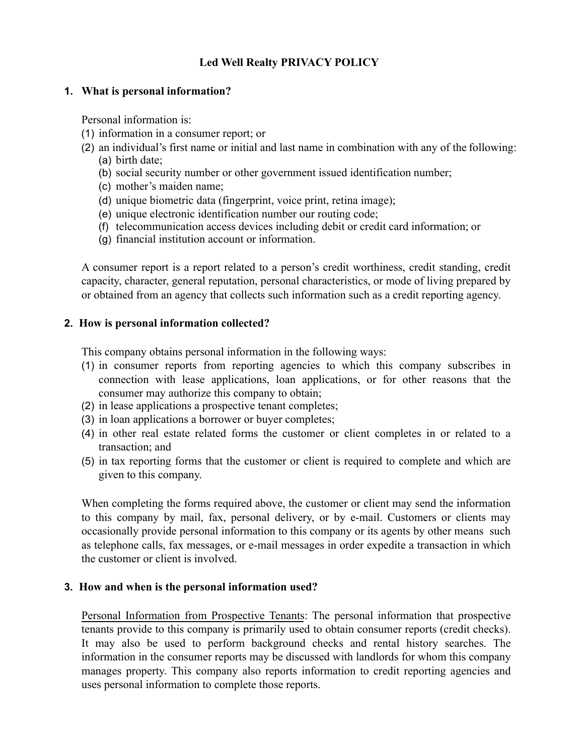# **Led Well Realty PRIVACY POLICY**

### **1. What is personal information?**

Personal information is:

- (1) information in a consumer report; or
- (2) an individual's first name or initial and last name in combination with any of the following: (a) birth date;
	- (b) social security number or other government issued identification number;
	- (c) mother's maiden name;
	- (d) unique biometric data (fingerprint, voice print, retina image);
	- (e) unique electronic identification number our routing code;
	- (f) telecommunication access devices including debit or credit card information; or
	- (g) financial institution account or information.

A consumer report is a report related to a person's credit worthiness, credit standing, credit capacity, character, general reputation, personal characteristics, or mode of living prepared by or obtained from an agency that collects such information such as a credit reporting agency.

## **2. How is personal information collected?**

This company obtains personal information in the following ways:

- (1) in consumer reports from reporting agencies to which this company subscribes in connection with lease applications, loan applications, or for other reasons that the consumer may authorize this company to obtain;
- (2) in lease applications a prospective tenant completes;
- (3) in loan applications a borrower or buyer completes;
- (4) in other real estate related forms the customer or client completes in or related to a transaction; and
- (5) in tax reporting forms that the customer or client is required to complete and which are given to this company.

When completing the forms required above, the customer or client may send the information to this company by mail, fax, personal delivery, or by e-mail. Customers or clients may occasionally provide personal information to this company or its agents by other means such as telephone calls, fax messages, or e-mail messages in order expedite a transaction in which the customer or client is involved.

#### **3. How and when is the personal information used?**

Personal Information from Prospective Tenants: The personal information that prospective tenants provide to this company is primarily used to obtain consumer reports (credit checks). It may also be used to perform background checks and rental history searches. The information in the consumer reports may be discussed with landlords for whom this company manages property. This company also reports information to credit reporting agencies and uses personal information to complete those reports.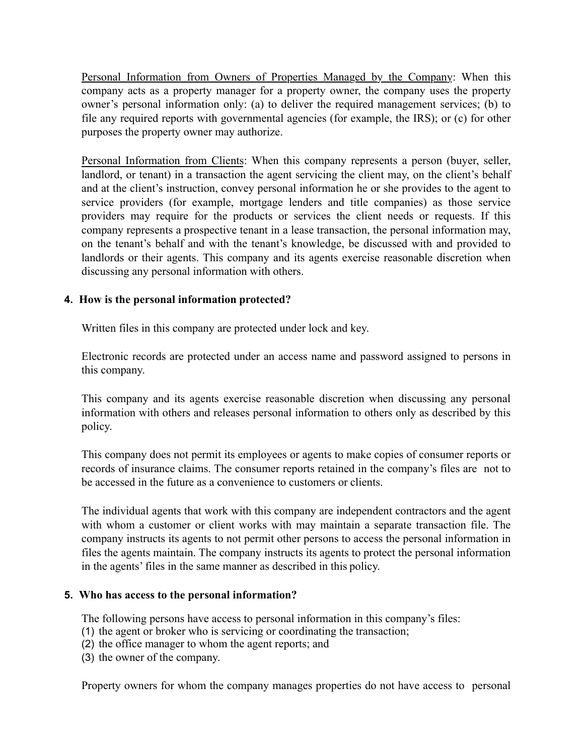Personal Information from Owners of Properties Managed by the Company: When this company acts as a property manager for a property owner, the company uses the property owner's personal information only: (a) to deliver the required management services; (b) to file any required reports with governmental agencies (for example, the IRS); or (c) for other purposes the property owner may authorize.

Personal Information from Clients: When this company represents a person (buyer, seller, landlord, or tenant) in a transaction the agent servicing the client may, on the client's behalf and at the client's instruction, convey personal information he or she provides to the agent to service providers (for example, mortgage lenders and title companies) as those service providers may require for the products or services the client needs or requests. If this company represents a prospective tenant in a lease transaction, the personal information may, on the tenant's behalf and with the tenant's knowledge, be discussed with and provided to landlords or their agents. This company and its agents exercise reasonable discretion when discussing any personal information with others.

## **4. How is the personal information protected?**

Written files in this company are protected under lock and key.

Electronic records are protected under an access name and password assigned to persons in this company.

This company and its agents exercise reasonable discretion when discussing any personal information with others and releases personal information to others only as described by this policy.

This company does not permit its employees or agents to make copies of consumer reports or records of insurance claims. The consumer reports retained in the company's files are not to be accessed in the future as a convenience to customers or clients.

The individual agents that work with this company are independent contractors and the agent with whom a customer or client works with may maintain a separate transaction file. The company instructs its agents to not permit other persons to access the personal information in files the agents maintain. The company instructs its agents to protect the personal information in the agents' files in the same manner as described in this policy.

#### **5. Who has access to the personal information?**

The following persons have access to personal information in this company's files:

- (1) the agent or broker who is servicing or coordinating the transaction;
- (2) the office manager to whom the agent reports; and
- (3) the owner of the company.

Property owners for whom the company manages properties do not have access to personal